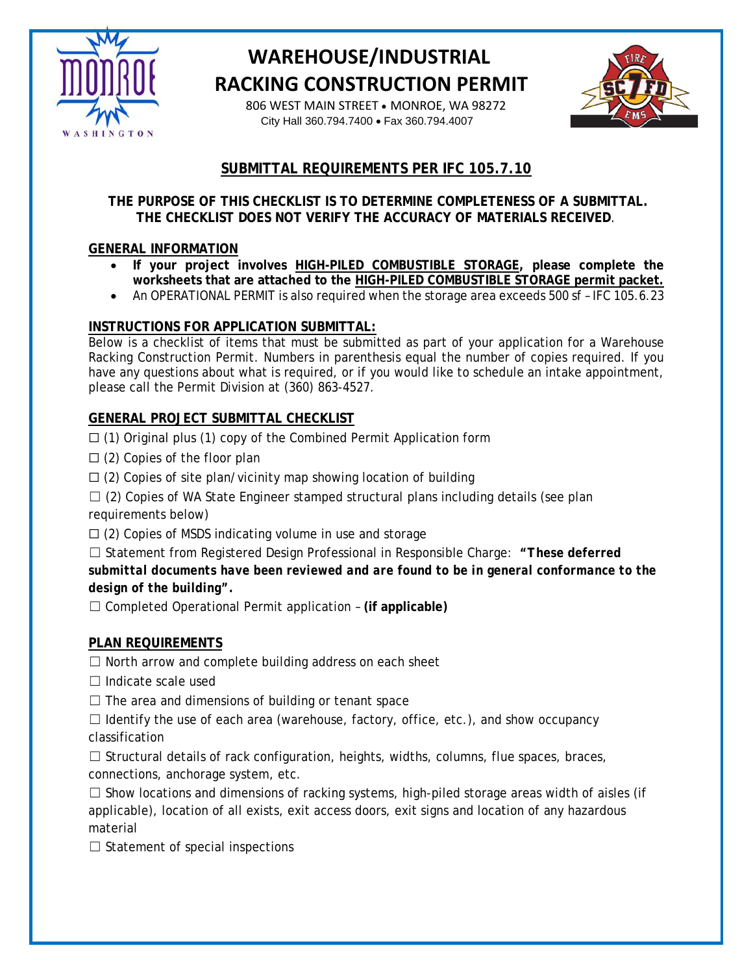

# **WAREHOUSE/INDUSTRIAL RACKING CONSTRUCTION PERMIT**

 806 WEST MAIN STREET • MONROE, WA 98272 City Hall 360.794.7400 • Fax 360.794.4007



### **SUBMITTAL REQUIREMENTS PER IFC 105.7.10**

#### **THE PURPOSE OF THIS CHECKLIST IS TO DETERMINE COMPLETENESS OF A SUBMITTAL. THE CHECKLIST DOES NOT VERIFY THE ACCURACY OF MATERIALS RECEIVED**.

### **GENERAL INFORMATION**

- **If your project involves HIGH-PILED COMBUSTIBLE STORAGE, please complete the worksheets that are attached to the HIGH-PILED COMBUSTIBLE STORAGE permit packet.**
- An OPERATIONAL PERMIT is also required when the storage area exceeds 500 sf IFC 105.6.23

#### **INSTRUCTIONS FOR APPLICATION SUBMITTAL:**

Below is a checklist of items that must be submitted as part of your application for a Warehouse Racking Construction Permit. Numbers in parenthesis equal the number of copies required. If you have any questions about what is required, or if you would like to schedule an intake appointment, please call the Permit Division at (360) 863-4527.

### **GENERAL PROJECT SUBMITTAL CHECKLIST**

 $\Box$  (1) Original plus (1) copy of the Combined Permit Application form

- $\Box$  (2) Copies of the floor plan
- $\Box$  (2) Copies of site plan/vicinity map showing location of building
- $\Box$  (2) Copies of WA State Engineer stamped structural plans including details (see plan requirements below)
- ☐ (2) Copies of MSDS indicating volume in use and storage

☐ Statement from Registered Design Professional in Responsible Charge: *"These deferred submittal documents have been reviewed and are found to be in general conformance to the design of the building".*

☐ Completed Operational Permit application – **(if applicable)**

### **PLAN REQUIREMENTS**

 $\Box$  North arrow and complete building address on each sheet

 $\Box$  Indicate scale used

 $\Box$  The area and dimensions of building or tenant space

 $\Box$  Identify the use of each area (warehouse, factory, office, etc.), and show occupancy classification

 $\Box$  Structural details of rack configuration, heights, widths, columns, flue spaces, braces, connections, anchorage system, etc.

 $\Box$  Show locations and dimensions of racking systems, high-piled storage areas width of aisles (if applicable), location of all exists, exit access doors, exit signs and location of any hazardous material

 $\Box$  Statement of special inspections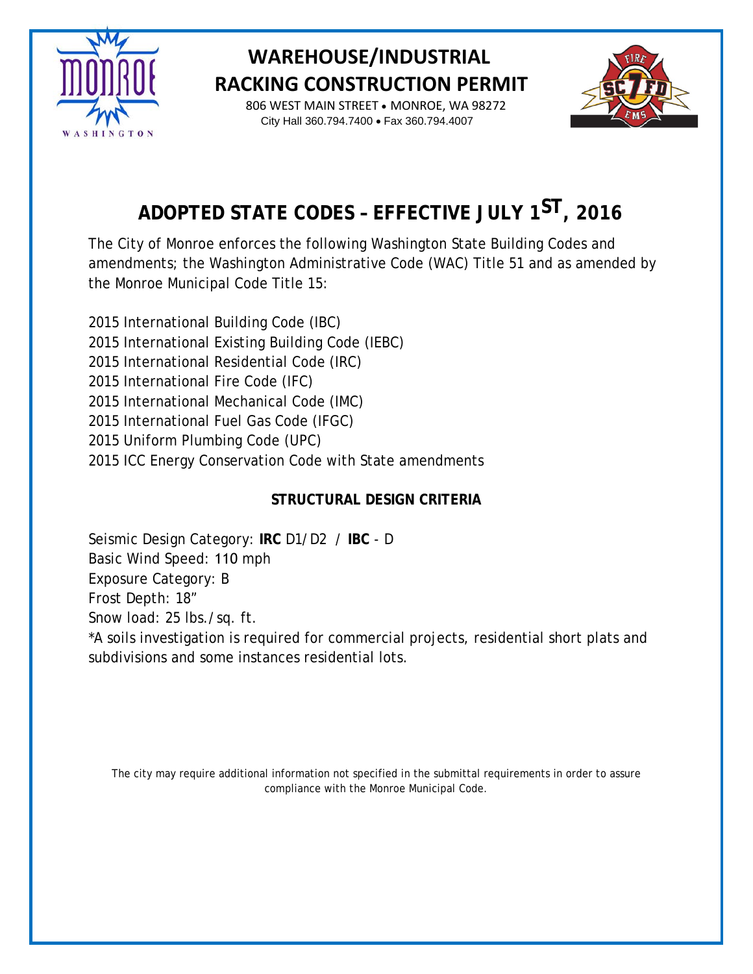

## **WAREHOUSE/INDUSTRIAL RACKING CONSTRUCTION PERMIT**

 806 WEST MAIN STREET • MONROE, WA 98272 City Hall 360.794.7400 • Fax 360.794.4007



# **ADOPTED STATE CODES – EFFECTIVE JULY 1 ST, 2016**

The City of Monroe enforces the following Washington State Building Codes and amendments; the Washington Administrative Code (WAC) Title 51 and as amended by the Monroe Municipal Code Title 15:

2015 International Building Code (IBC) 2015 International Existing Building Code (IEBC) 2015 International Residential Code (IRC) 2015 International Fire Code (IFC) 2015 International Mechanical Code (IMC) 2015 International Fuel Gas Code (IFGC) 2015 Uniform Plumbing Code (UPC) 2015 ICC Energy Conservation Code with State amendments

### **STRUCTURAL DESIGN CRITERIA**

Seismic Design Category: **IRC** D1/D2 / **IBC** - D Basic Wind Speed: 110 mph Exposure Category: B Frost Depth: 18" Snow load: 25 lbs./sq. ft. \*A soils investigation is required for commercial projects, residential short plats and subdivisions and some instances residential lots.

The city may require additional information not specified in the submittal requirements in order to assure compliance with the Monroe Municipal Code.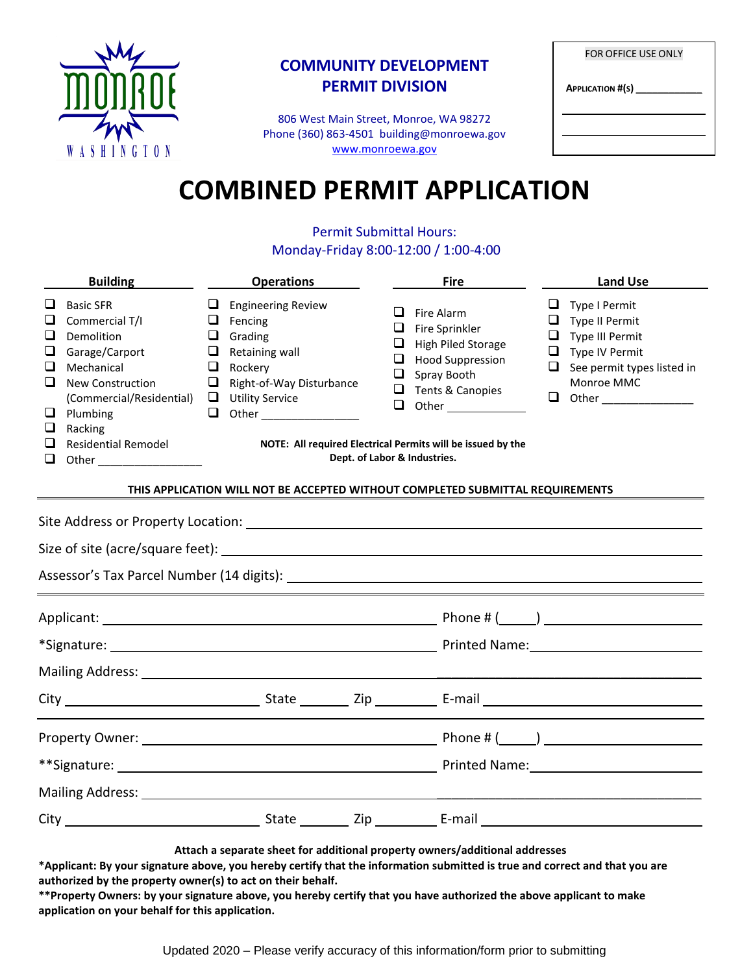

### **COMMUNITY DEVELOPMENT PERMIT DIVISION**

806 West Main Street, Monroe, WA 98272 Phone (360) 863-4501 building@monroewa.gov [www.monroewa.gov](http://www.monroewa.gov/)

| <b>FOR OFFICE USE ONLY</b> |  |  |  |  |
|----------------------------|--|--|--|--|
| <b>APPLICATION #(S)</b>    |  |  |  |  |
|                            |  |  |  |  |
|                            |  |  |  |  |

# **COMBINED PERMIT APPLICATION**

#### Permit Submittal Hours: Monday-Friday 8:00-12:00 / 1:00-4:00

|                                           | <b>Building</b>                                                                                                                                                                              |                                            | <b>Operations</b>                                                                                                                         |                                 | <b>Fire</b>                                                                                                                                                                                                                                      |                       | <b>Land Use</b>                                                                                                  |
|-------------------------------------------|----------------------------------------------------------------------------------------------------------------------------------------------------------------------------------------------|--------------------------------------------|-------------------------------------------------------------------------------------------------------------------------------------------|---------------------------------|--------------------------------------------------------------------------------------------------------------------------------------------------------------------------------------------------------------------------------------------------|-----------------------|------------------------------------------------------------------------------------------------------------------|
| ⊔<br>❏<br>⊔<br>□<br>⊔<br>□<br>ப<br>ப<br>□ | <b>Basic SFR</b><br>Commercial T/I<br>Demolition<br>Garage/Carport<br>Mechanical<br><b>New Construction</b><br>(Commercial/Residential)<br>Plumbing<br>Racking<br><b>Residential Remodel</b> | Q.<br>$\Box$<br>⊔<br>$\Box$<br>⊔<br>$\Box$ | <b>Engineering Review</b><br>$\Box$ Fencing<br>Grading<br>Retaining wall<br>Rockery<br>Right-of-Way Disturbance<br>$\Box$ Utility Service | ⊔<br>ப<br>ப<br>⊔<br>□<br>$\Box$ | Fire Alarm<br>Fire Sprinkler<br><b>High Piled Storage</b><br><b>Hood Suppression</b><br>Spray Booth<br>Tents & Canopies<br><b>Other Community</b><br>NOTE: All required Electrical Permits will be issued by the<br>Dept. of Labor & Industries. | ப<br>⊔<br>❏<br>□<br>ப | Type I Permit<br>Type II Permit<br>Type III Permit<br>Type IV Permit<br>See permit types listed in<br>Monroe MMC |
|                                           |                                                                                                                                                                                              |                                            | THIS APPLICATION WILL NOT BE ACCEPTED WITHOUT COMPLETED SUBMITTAL REQUIREMENTS                                                            |                                 |                                                                                                                                                                                                                                                  |                       |                                                                                                                  |
|                                           |                                                                                                                                                                                              |                                            |                                                                                                                                           |                                 |                                                                                                                                                                                                                                                  |                       |                                                                                                                  |
|                                           |                                                                                                                                                                                              |                                            |                                                                                                                                           |                                 |                                                                                                                                                                                                                                                  |                       |                                                                                                                  |
|                                           |                                                                                                                                                                                              |                                            |                                                                                                                                           |                                 |                                                                                                                                                                                                                                                  |                       |                                                                                                                  |
|                                           |                                                                                                                                                                                              |                                            |                                                                                                                                           |                                 |                                                                                                                                                                                                                                                  |                       |                                                                                                                  |
|                                           |                                                                                                                                                                                              |                                            |                                                                                                                                           |                                 |                                                                                                                                                                                                                                                  |                       |                                                                                                                  |
|                                           |                                                                                                                                                                                              |                                            |                                                                                                                                           |                                 |                                                                                                                                                                                                                                                  |                       |                                                                                                                  |
|                                           |                                                                                                                                                                                              |                                            |                                                                                                                                           |                                 |                                                                                                                                                                                                                                                  |                       |                                                                                                                  |
|                                           |                                                                                                                                                                                              |                                            |                                                                                                                                           |                                 |                                                                                                                                                                                                                                                  |                       |                                                                                                                  |
|                                           |                                                                                                                                                                                              |                                            |                                                                                                                                           |                                 |                                                                                                                                                                                                                                                  |                       |                                                                                                                  |

**Attach a separate sheet for additional property owners/additional addresses**

**\*Applicant: By your signature above, you hereby certify that the information submitted is true and correct and that you are authorized by the property owner(s) to act on their behalf.**

**\*\*Property Owners: by your signature above, you hereby certify that you have authorized the above applicant to make application on your behalf for this application.**